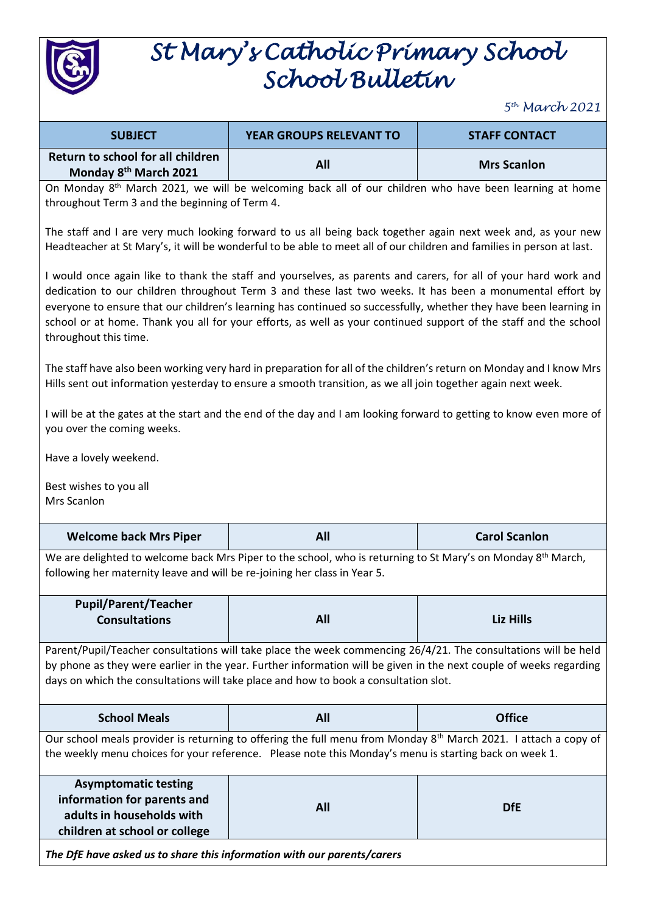

## *St Mary's Catholic Primary School School Bulletin*

*5 th March 2021*

| <b>SUBJECT</b>                                                                                                                                                                                                                                                                                                                                                                                                                                                                                 | <b>YEAR GROUPS RELEVANT TO</b> | <b>STAFF CONTACT</b> |  |
|------------------------------------------------------------------------------------------------------------------------------------------------------------------------------------------------------------------------------------------------------------------------------------------------------------------------------------------------------------------------------------------------------------------------------------------------------------------------------------------------|--------------------------------|----------------------|--|
| Return to school for all children<br>Monday 8 <sup>th</sup> March 2021                                                                                                                                                                                                                                                                                                                                                                                                                         | All                            | <b>Mrs Scanlon</b>   |  |
| On Monday 8 <sup>th</sup> March 2021, we will be welcoming back all of our children who have been learning at home<br>throughout Term 3 and the beginning of Term 4.                                                                                                                                                                                                                                                                                                                           |                                |                      |  |
| The staff and I are very much looking forward to us all being back together again next week and, as your new<br>Headteacher at St Mary's, it will be wonderful to be able to meet all of our children and families in person at last.                                                                                                                                                                                                                                                          |                                |                      |  |
| I would once again like to thank the staff and yourselves, as parents and carers, for all of your hard work and<br>dedication to our children throughout Term 3 and these last two weeks. It has been a monumental effort by<br>everyone to ensure that our children's learning has continued so successfully, whether they have been learning in<br>school or at home. Thank you all for your efforts, as well as your continued support of the staff and the school<br>throughout this time. |                                |                      |  |
| The staff have also been working very hard in preparation for all of the children's return on Monday and I know Mrs<br>Hills sent out information yesterday to ensure a smooth transition, as we all join together again next week.                                                                                                                                                                                                                                                            |                                |                      |  |
| I will be at the gates at the start and the end of the day and I am looking forward to getting to know even more of<br>you over the coming weeks.                                                                                                                                                                                                                                                                                                                                              |                                |                      |  |
| Have a lovely weekend.                                                                                                                                                                                                                                                                                                                                                                                                                                                                         |                                |                      |  |
| Best wishes to you all<br>Mrs Scanlon                                                                                                                                                                                                                                                                                                                                                                                                                                                          |                                |                      |  |
| <b>Welcome back Mrs Piper</b>                                                                                                                                                                                                                                                                                                                                                                                                                                                                  | All                            | <b>Carol Scanlon</b> |  |
| We are delighted to welcome back Mrs Piper to the school, who is returning to St Mary's on Monday 8th March,<br>following her maternity leave and will be re-joining her class in Year 5.                                                                                                                                                                                                                                                                                                      |                                |                      |  |
| <b>Pupil/Parent/Teacher</b>                                                                                                                                                                                                                                                                                                                                                                                                                                                                    |                                |                      |  |
| <b>Consultations</b>                                                                                                                                                                                                                                                                                                                                                                                                                                                                           | All                            | <b>Liz Hills</b>     |  |
| Parent/Pupil/Teacher consultations will take place the week commencing 26/4/21. The consultations will be held<br>by phone as they were earlier in the year. Further information will be given in the next couple of weeks regarding<br>days on which the consultations will take place and how to book a consultation slot.                                                                                                                                                                   |                                |                      |  |
| <b>School Meals</b>                                                                                                                                                                                                                                                                                                                                                                                                                                                                            | All                            | <b>Office</b>        |  |
| Our school meals provider is returning to offering the full menu from Monday 8 <sup>th</sup> March 2021. I attach a copy of<br>the weekly menu choices for your reference. Please note this Monday's menu is starting back on week 1.                                                                                                                                                                                                                                                          |                                |                      |  |
| <b>Asymptomatic testing</b><br>information for parents and<br>adults in households with<br>children at school or college                                                                                                                                                                                                                                                                                                                                                                       | <b>All</b>                     | <b>DfE</b>           |  |
| The DfE have asked us to share this information with our parents/carers                                                                                                                                                                                                                                                                                                                                                                                                                        |                                |                      |  |